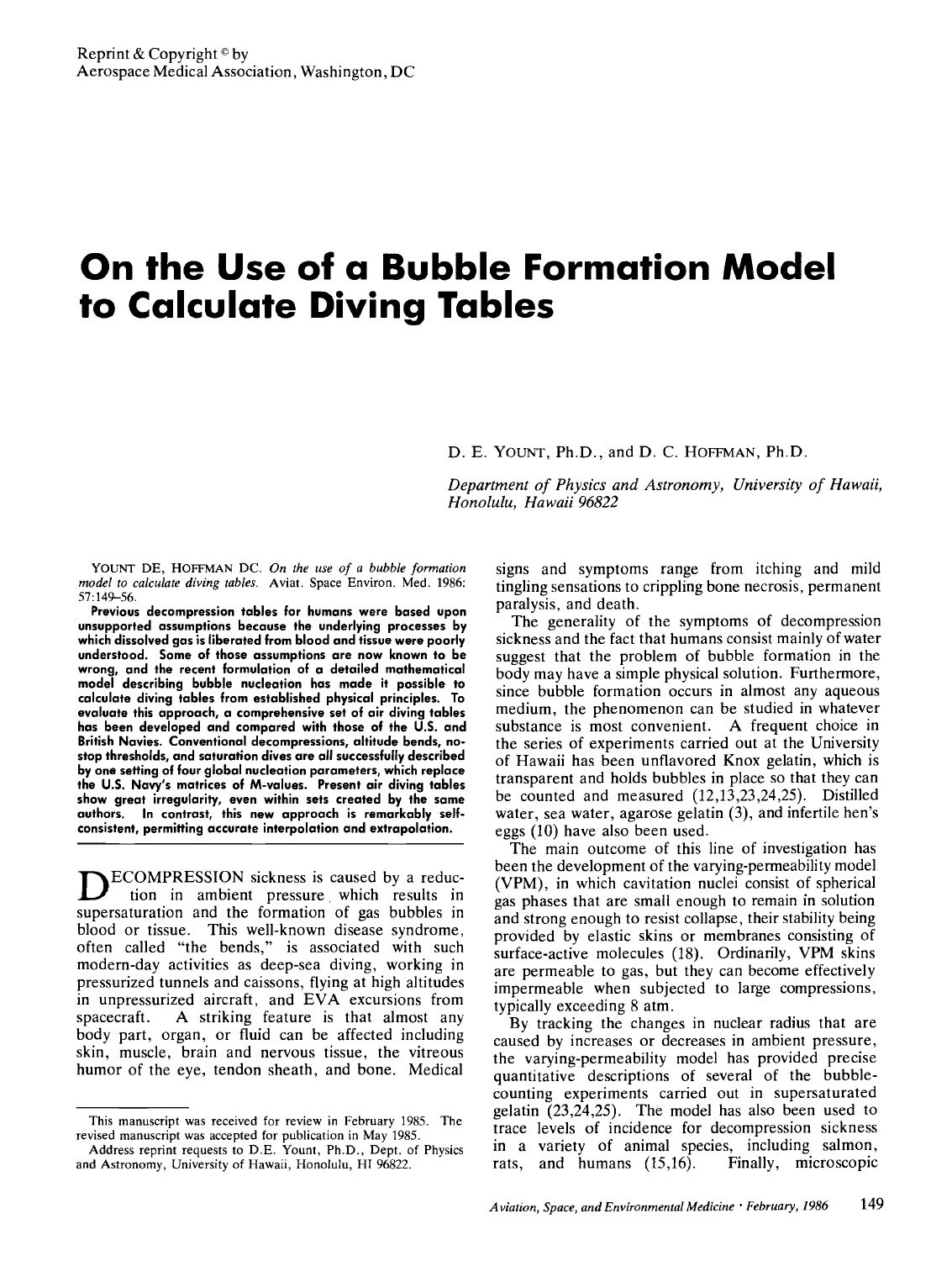# **On the Use of a Bubble Formation Model to Calculate Diving Tables**

D. E. YOUNT, Ph.D., and D. C. HOFFMAN, Ph.D.

*Department of Physics and Astronomy, University of Hawaii, Honolulu, Hawaii 96822* 

YOUNT DE, HOFFMAN DC. *On the use of a bubble formation model to calculate diving tables.* Aviat. Space Environ. Med. 1986: 57:149-56.

**Previous decompression tables for humans were based upon unsupported assumptions because the underlying processes by which dissolved gas is liberated from blood and tissue were poorly understood. Some of those assumptions are now known to be wrong, and the recent formulation of a detailed mathematical model describing bubble nucleation has made it possible to calculate diving tables from established physical principles.** To **evaluate this approach, a comprehensive set of air diving tables has been developed and compared with those of the U.S. and British Navies. Conventional decompressions, altitude bends, nostop thresholds, and saturation dives are all successfully described by one setting of four global nucleation parameters, which replace the** U.S. Navy's **matrices of M-values. Present air diving tables show great irregularity, even within sets created by the same authors. In contrast, this new approach is remarkably selfconsistent, permitting accurate interpolation and extrapolation.** 

**D**ECOMPRESSION sickness is caused by a reduction in ambient pressure which results in supersaturation and the formation of gas bubbles in blood or tissue. This well-known disease syndrome, often called "the bends," is associated with such modern-day activities as deep-sea diving, working in pressurized tunnels and caissons, flying at high altitudes in unpressurized aircraft, and EVA excursions from spacecraft. A striking feature is that almost any body part, organ, or fluid can be affected including skin, muscle, brain and nervous tissue, the vitreous humor of the eye, tendon sheath, and bone. Medical

signs and symptoms range from itching and mild tingling sensations to crippling bone necrosis, permanent paralysis, and death.

The generality of the symptoms of decompression sickness and the fact that humans consist mainly of water suggest that the problem of bubble formation in the body may have a simple physical solution. Furthermore, since bubble formation occurs in almost any aqueous medium, the phenomenon can be studied in whatever substance is most convenient. A frequent choice in the series of experiments carried out at the University of Hawaii has been unflavored Knox gelatin, which is transparent and holds bubbles in place so that they can be counted and measured (12,13,23,24,25). Distilled water, sea water, agarose gelatin (3), and infertile hen's eggs (10) have also been used.

The main outcome of this line of investigation has been the development of the varying-permeability model (VPM), in which cavitation nuclei consist of spherical gas phases that are small enough to remain in solution and strong enough to resist collapse, their stability being provided by elastic skins or membranes consisting of surface-active molecules (18). Ordinarily, VPM skins are permeable to gas, but they can become effectively impermeable when subjected to large compressions, typically exceeding 8 atm.

By tracking the changes in nuclear radius that are caused by increases or decreases in ambient pressure, the varying-permeability model has provided precise quantitative descriptions of several of the bubblecounting experiments carried out in supersaturated gelatin  $(23,24,25)$ . The model has also been used to trace levels of incidence for decompression sickness in a variety of animal species, including salmon, rats, and humans (15,16). Finally, microscopic

This manuscript was received for review in February 1985. The revised manuscript was accepted for publication in May 1985.

Address reprint requests to D.E. Yount, Ph.D., Dept. of Physics and Astronomy, University of Hawaii, Honolulu, HI 96822.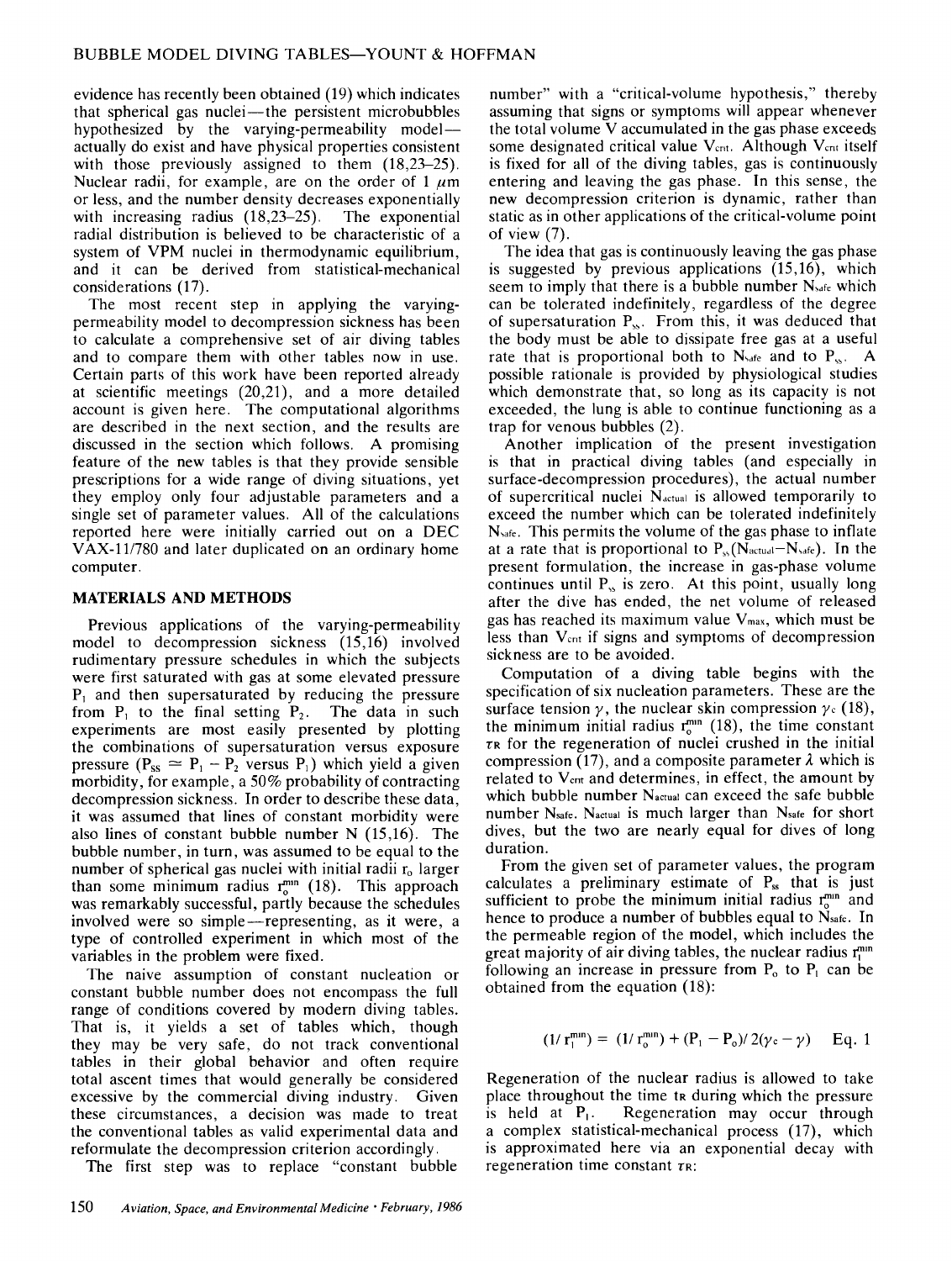evidence has recently been obtained (19) which indicates that spherical gas nuclei-the persistent microbubbles hypothesized by the varying-permeability modelactually do exist and have physical properties consistent with those previously assigned to them  $(18.23-25)$ . Nuclear radii, for example, are on the order of 1  $\mu$ m or less, and the number density decreases exponentially with increasing radius (18,23–25). The exponential radial distribution is believed to be characteristic of a system of VPM nuclei in thermodynamic equilibrium, and it can be derived from statistical-mechanical considerations (17).

The most recent step in applying the varyingpermeability model to decompression sickness has been to calculate a comprehensive set of air diving tables and to compare them with other tables now in use. Certain parts of this work have been reported already at scientific meetings (20,21), and a more detailed account is given here. The computational algorithms are described in the next section, and the results are discussed in the section which follows. A promising feature of the new tables is that they provide sensible prescriptions for a wide range of diving situations, yet they employ only four adjustable parameters and a single set of parameter values. All of the calculations reported here were initially carried out on a DEC VAX-11/780 and later duplicated on an ordinary home computer.

## **MATERIALS AND METHODS**

Previous applications of the varying-permeability model to decompression sickness (15,16) involved rudimentary pressure schedules in which the subjects were first saturated with gas at some elevated pressure  $P_1$  and then supersaturated by reducing the pressure from  $P_1$  to the final setting  $P_2$ . The data in such experiments are most easily presented by plotting the combinations of supersaturation versus exposure pressure ( $P_{ss} \approx P_1 - P_2$  versus P<sub>1</sub>) which yield a given morbidity, for example, a 50% probability of contracting decompression sickness. In order to describe these **data,**  it was assumed that lines of constant morbidity were also lines of constant bubble number N (15,16). The bubble number, in turn, was assumed to be equal to the number of spherical gas nuclei with initial radii  $r<sub>o</sub>$  larger than some minimum radius  $r_0^{mn}$  (18). This approach was remarkably successful, partly because the schedules involved were so simple—representing, as it were, a type of controlled experiment in which most of the variables in the problem were fixed.

The naive assumption of constant nucleation or constant bubble number does not encompass the full range of conditions covered by modern diving tables. That is, it yields a set of tables which, though they may be very safe, do not track conventional tables in their global behavior and often require total ascent times that would generally be considered excessive by the commercial diving industry. Given these circumstances, a decision was made to treat the conventional tables as valid experimental data and reformulate the decompression criterion accordingly.

The first step was to replace "constant bubble

number" with a "critical-volume hypothesis," thereby assuming that signs or symptoms will appear whenever the total volume  $\bar{V}$  accumulated in the gas phase exceeds some designated critical value V<sub>cnt</sub>. Although V<sub>cnt</sub> itself is fixed for all of the diving tables, gas is continuously entering and leaving the gas phase. In this sense, the new decompression criterion is dynamic, rather than static as in other applications of the critical-volume point of view (7).

The idea that gas is continuously leaving the gas phase is suggested by previous applications (15,16), which seem to imply that there is a bubble number  $N<sub>safe</sub>$  which can be tolerated indefinitely, regardless of the degree of supersaturation  $P_{\rm ss}$ . From this, it was deduced that the body must be able to dissipate free gas at a useful rate that is proportional both to  $N_{\text{safe}}$  and to  $P_{\text{ss}}$ . A possible rationale is provided by physiological studies which demonstrate that, so long as its capacity is not exceeded, the lung is able to continue functioning as a trap for venous bubbles (2).

Another implication of the present investigation is that in practical diving tables (and especially in surface-decompression procedures), the actual number of supercritical nuclei  $N_{actual}$  is allowed temporarily to exceed the number which can be tolerated indefinitely  $N<sub>safe</sub>$ . This permits the volume of the gas phase to inflate at a rate that is proportional to  $P_{\rm s}$ (N<sub>actual</sub>-N<sub>safe</sub>). In the present formulation, the increase in gas-phase volume continues until  $P_{\infty}$  is zero. At this point, usually long after the dive has ended, the net volume of released gas has reached its maximum value  $V_{\text{max}}$ , which must be less than Vcm if signs and symptoms of decompression sickness are to be avoided.

Computation of a diving table begins with the specification of six nucleation parameters. These are the surface tension  $\gamma$ , the nuclear skin compression  $\gamma$ . (18), the minimum initial radius  $r_0^{mn}$  (18), the time constant  $\tau$ <sub>R</sub> for the regeneration of nuclei crushed in the initial compression (17), and a composite parameter  $\lambda$  which is related to V<sub>cnt</sub> and determines, in effect, the amount by which bubble number Nactual can exceed the safe bubble number Nsafe. Nactual is much larger than Nsafe for short dives, but the two are nearly equal for dives of long duration.

From the given set of parameter values, the program calculates a preliminary estimate of  $P_{ss}$  that is just sufficient to probe the minimum initial radius r<sup>min</sup> and hence to produce a number of bubbles equal to Nsafe. In the permeable region of the model, which includes the great majority of air diving tables, the nuclear radius  $r_1^{mn}$ following an increase in pressure from  $P_0$  to  $P_1$  can be obtained from the equation (18):

$$
(1/\,r_1^{\min}) = (1/\,r_0^{\min}) + (P_1 - P_o)/\,2(\gamma_c - \gamma) \quad \text{Eq. 1}
$$

Regeneration of the nuclear radius is allowed to take place throughout the time tr during which the pressure is held at  $P_1$ . Regeneration may occur through a complex statistical-mechanical process (17), which is approximated here via an exponential decay with regeneration time constant  $\tau_{\rm R}$ :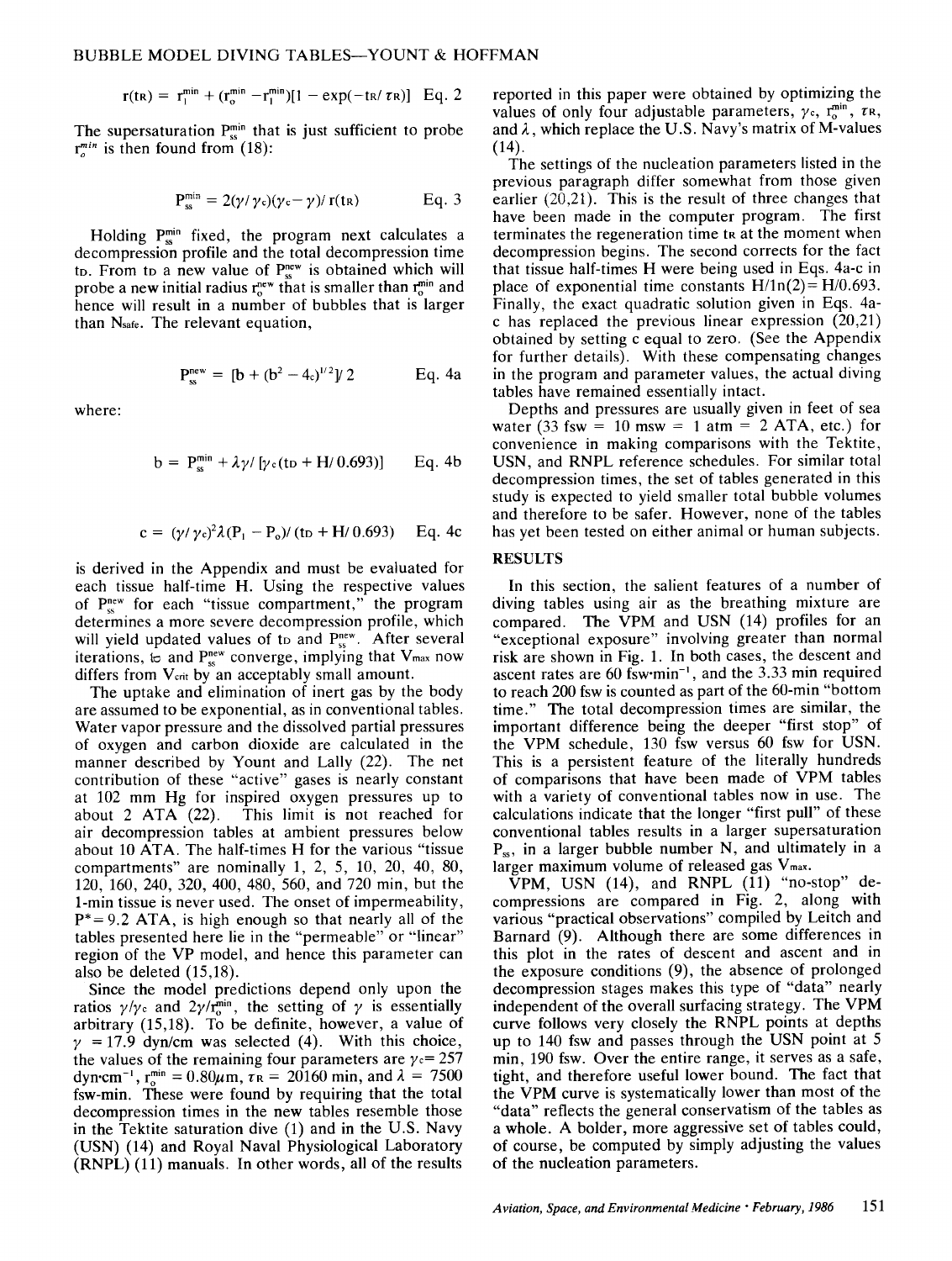$$
r(t\kappa) = r_1^{\min} + (r_0^{\min} - r_1^{\min})[1 - \exp(-t\kappa/\tau\kappa)] \quad Eq. 2
$$

The supersaturation  $P_{ss}^{min}$  that is just sufficient to probe  $r_n^{min}$  is then found from (18):

$$
P_{ss}^{min} = 2(\gamma/\gamma_c)(\gamma_c - \gamma)/r(t_R) \qquad \qquad Eq. 3
$$

Holding  $P_{ss}^{min}$  fixed, the program next calculates a decompression profile and the total decompression time to. From to a new value of  $P_{ss}^{new}$  is obtained which will probe a new initial radius  $r_e^{new}$  that is smaller than  $r_e^{min}$  and hence will result in a number of bubbles that is larger than N<sub>safe</sub>. The relevant equation,

$$
P_{\infty}^{\text{new}} = [b + (b^2 - 4_c)^{1/2} V 2 \qquad \text{Eq. 4a}
$$

where:

$$
b = P_{ss}^{min} + \lambda \gamma / [\gamma_c (t_D + H/0.693)] \qquad Eq. 4b
$$

$$
c = (\gamma/\gamma_c)^2 \lambda (P_1 - P_o) / (t_D + H/0.693)
$$
 Eq. 4c

is derived in the Appendix and must be evaluated for each tissue half-time H. Using the respective values of  $P_{\text{cs}}^{\text{new}}$  for each "tissue compartment," the program determines a more severe decompression profile, which will yield updated values of to and  $P_{ss}^{new}$ . After several iterations,  $\mathfrak{b}$  and  $P_{ss}^{new}$  converge, implying that  $V_{max}$  now differs from V<sub>crit</sub> by an acceptably small amount.

The uptake and elimination of inert gas by the body are assumed to be exponential, as in conventional tables. Water vapor pressure and the dissolved partial pressures of oxygen and carbon dioxide are calculated in the manner described by Yount and Lally (22). The net contribution of these "active" gases is nearly constant at 102 mm Hg for inspired oxygen pressures up to about 2 ATA (22). This limit is not reached for air decompression tables at ambient pressures below about 10 ATA. The half-times H for the various "tissue compartments" are nominally 1, 2, 5, 10, 20, 40, 80, 120, 160, 240, 320, 400, 480, 560, and 720 min, but the 1-min tissue is never used. The onset of impermeability,  $P^* = 9.2$  ATA, is high enough so that nearly all of the tables presented here lie in the "permeable" or "linear" region of the VP model, and hence this parameter can also be deleted (15,18).

Since the model predictions depend only upon the ratios  $\gamma/\gamma_c$  and  $2\gamma/r_0^{\text{min}}$ , the setting of  $\gamma$  is essentially arbitrary (15,18). To be definite, however, a value of  $\gamma$  = 17.9 dyn/cm was selected (4). With this choice, the values of the remaining four parameters are  $\gamma = 257$ dyn·cm<sup>-1</sup>, r<sup>min</sup> = 0.80 $\mu$ m,  $\tau_{\text{R}}$  = 20160 min, and  $\lambda$  = 7500 fsw-min. These were found by requiring that the total decompression times in the new tables resemble those in the Tektite saturation dive (1) and in the U.S. Navy (USN) (14) and Royal Naval Physiological Laboratory (RNPL) (11) manuals. In other words, all of the results reported in this paper were obtained by optimizing the values of only four adjustable parameters,  $\gamma_c$ ,  $r_0^{\text{min}}$ ,  $\tau$ R, and  $\lambda$ , which replace the U.S. Navy's matrix of M-values (14).

The settings of the nucleation parameters listed in the previous paragraph differ somewhat from those given earlier (20,21). This is the result of three changes that have been made in the computer program. The first terminates the regeneration time the at the moment when decompression begins. The second corrects for the fact that tissue half-times H were being used in Eqs. 4a-c in place of exponential time constants  $H/1n(2) = H/0.693$ . Finally, the exact quadratic solution given in Eqs. 4ac has replaced the previous linear expression (20,21) obtained by setting c equal to zero. (See the Appendix for further details). With these compensating changes in the program and parameter values, the actual diving tables have remained essentially intact.

Depths and pressures are usually given in feet of sea water (33 fsw = 10 msw = 1 atm = 2 ATA, etc.) for convenience in making comparisons with the Tektite, USN, and RNPL reference schedules. For similar total decompression times, the set of tables generated in this study is expected to yield smaller total bubble volumes and therefore to be safer. However, none of the tables has yet been tested on either animal or human subjects.

### RESULTS

In this section, the salient features of a number of diving tables using air as the breathing mixture are compared. The VPM and USN (14) profiles for an "exceptional exposure" involving greater than normal risk are shown in Fig. 1. In both cases, the descent and ascent rates are 60 fsw $\cdot$ min<sup>-1</sup>, and the 3.33 min required to reach 200 fsw is counted as part of the 60-min "bottom time." The total decompression times are similar, the important difference being the deeper "first stop" of the VPM schedule, 130 fsw versus 60 fsw for USN. This is a persistent feature of the literally hundreds of comparisons that have been made of VPM tables with a variety of conventional tables now in use. The calculations indicate that the longer "first pull" of these conventional tables results in a larger supersaturation P<sub>ss</sub>, in a larger bubble number N, and ultimately in a larger maximum volume of released gas  $V_{\text{max}}$ .

VPM, USN (14), and RNPL (11) "no-stop" decompressions are compared in Fig. 2, along with various "practical observations" compiled by Leitch and Barnard (9). Although there are some differences in this plot in the rates of descent and ascent and in the exposure conditions (9), the absence of prolonged decompression stages makes this type of "data" nearly independent of the overall surfacing strategy. The VPM curve follows very closely the RNPL points at depths up to 140 fsw and passes through the USN point at 5 min, 190 fsw. Over the entire range, it serves as a safe, tight, and therefore useful lower bound. The fact that the VPM curve is systematically lower than most of the "data" reflects the general conservatism of the tables as a whole. A bolder, more aggressive set of tables could, of course, be computed by simply adjusting the values of the nucleation parameters.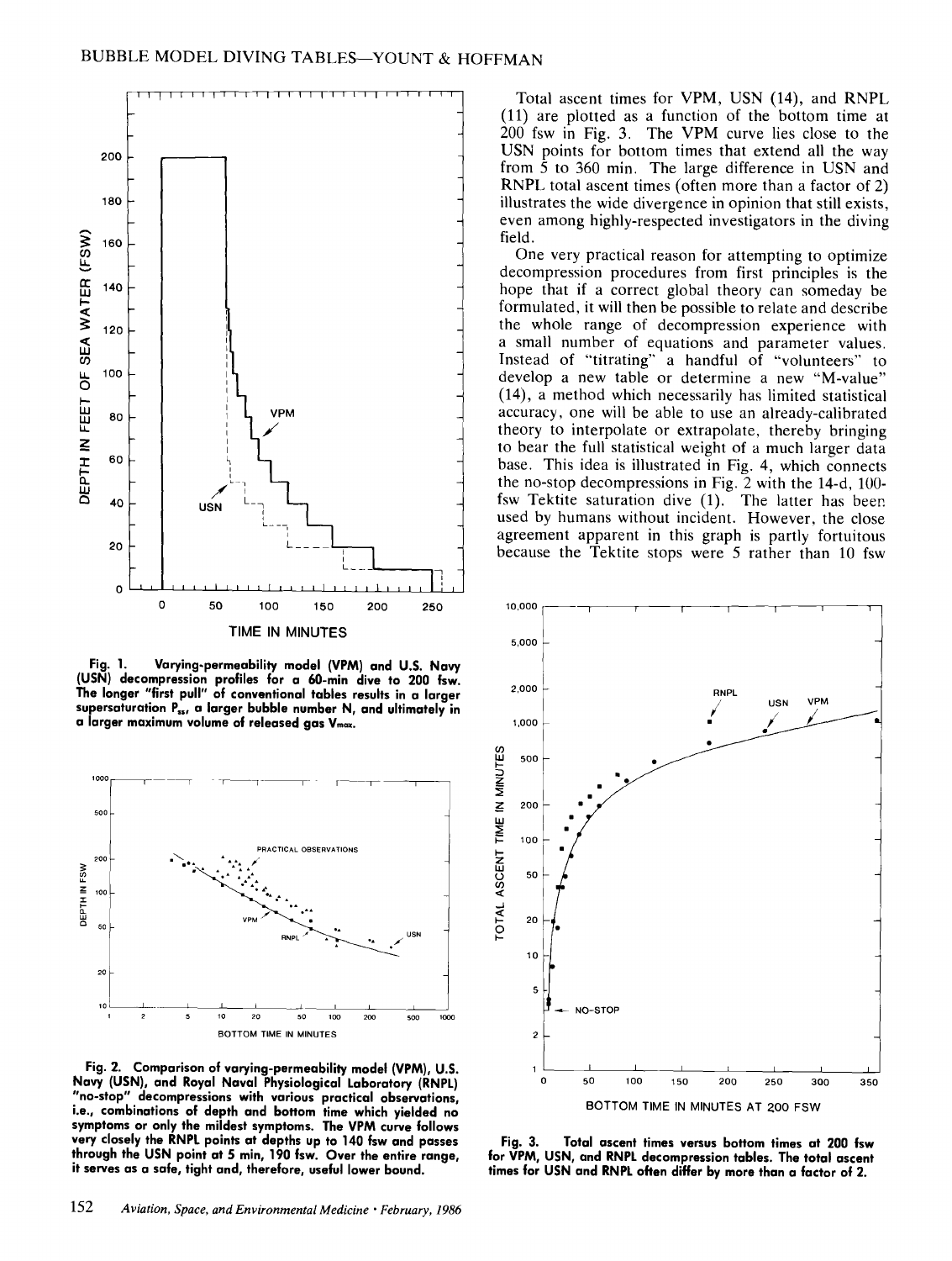

**Fig. 1. Varying-permeability model (VPM) and U.S. Navy (USN) decompression profiles for a 60-min dive to 200 fsw. The longer "first pull" of conventional tables results in a larger**  supersaturation P<sub>55</sub>, a larger bubble number N, and ultimately in a larger maximum volume of released gas V<sub>max</sub>.



**Fig. 2. Comparison of varying-permeability model (VPM), U.S. Navy (USN), and Royal Naval Physiological Laboratory (RNPL) "no-stop" decompressions with various practical observations, i.e., combinations of depth and bottom time which yielded no symptoms or only the mildest symptoms. The VPM curve follows very closely the RNPL points at depths up to 140 fsw and passes through the USN point at 5 min, 190 fsw. Over the entire range, it serves as a safe, tight and, therefore, useful lower bound.** 

**Total ascent times for VPM, USN (14), and RNPL (ll) are plotted as a function of the bottom time at 200 fsw in Fig. 3. The VPM curve lies close to the USN points for bottom times that extend all the way from 5 to 360 min. The large difference in USN and RNPL total ascent times (often more than a factor of 2) illustrates the wide divergence in opinion that still exists, even among highly-respected investigators in the diving field.** 

**One very practical reason for attempting to optimize decompression procedures from first principles is the hope that if a correct global theory can someday be formulated, it will then be possible to relate and describe the whole range of decompression experience with a small number of equations and parameter values. Instead of "titrating" a handful of "volunteers" to develop a new table or determine a new "M-value" (14), a method which necessarily has limited statistical accuracy, one will be able to use an already-calibrated theory to interpolate or extrapolate, thereby bringing to bear the full statistical weight of a much larger data base. This idea is illustrated in Fig. 4, which connects the no-stop decompressions in Fig. 2 with the 14-d, 100 fsw Tektite saturation dive (1). The latter has beer. used by humans without incident. However, the close agreement apparent in this graph is partly fortuitous because the Tektite stops were 5 rather than 10 fsw** 



**Fig. 3. Total ascent times versus bottom times at 200 fsw for VPM, USN, and RNPL decompression tables. The total ascent times for USN and RNPL often differ by more than a factor of 2.**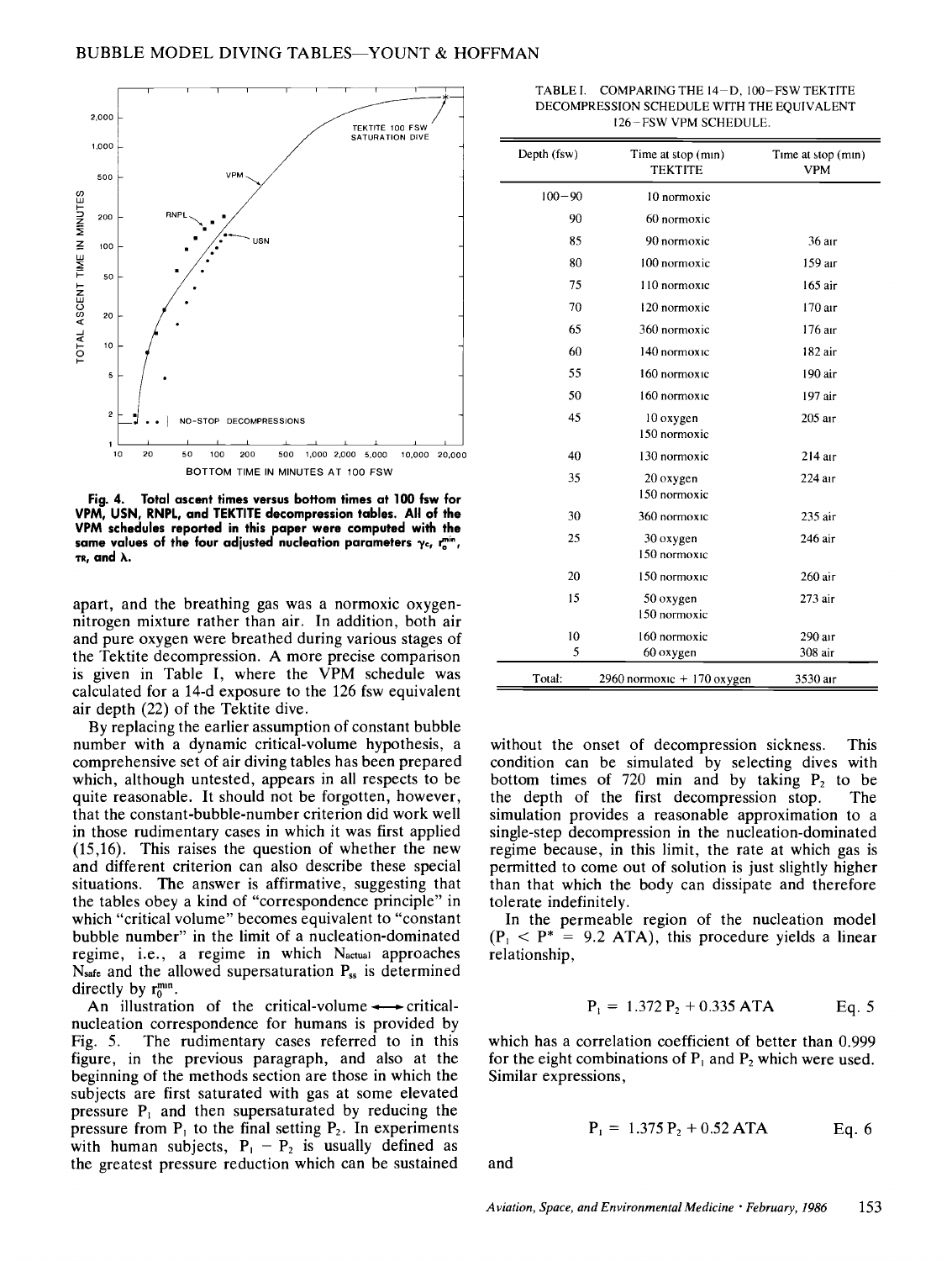

**Fig. 4. Total ascent times versus bottom times at 100 fsw for VPM, USN, RNPL, and TEKTITE decompression tables. All of the VPM schedules reported in this paper were computed with the**  same values of the four adjusted nucleation parameters ye, rain,  $\tau$ **R**, and  $\lambda$ .

apart, and the breathing gas was a normoxic oxygennitrogen mixture rather than air. In addition, both air and pure oxygen were breathed during various stages of the Tektite decompression. A more precise comparison is given in Table I, where the VPM schedule was calculated for a 14-d exposure to the 126 fsw equivalent air depth (22) of the Tektite dive.

By replacing the earlier assumption of constant bubble number with a dynamic critical-volume hypothesis, a comprehensive set of air diving tables has been prepared which, although untested, appears in all respects to be quite reasonable. It should not be forgotten, however, that the constant-bubble-number criterion did work well in those rudimentary cases in which it was first applied (15,16). This raises the question of whether the new and different criterion can also describe these special situations. The answer is affirmative, suggesting that the tables obey a kind of "correspondence principle" in which "critical volume" becomes equivalent to "constant bubble number" in the limit of a nucleation-dominated regime, i.e., a regime in which  $N_{actual}$  approaches Nsafe and the allowed supersaturation  $P_{ss}$  is determined directly by  $r_0^{mn}$ .

An illustration of the critical-volume  $\rightarrow$  criticalnucleation correspondence for humans is provided by Fig. 5. The rudimentary cases referred to in this figure, in the previous paragraph, and also at the beginning of the methods section are those in which the subjects are first saturated with gas at some elevated pressure  $P_1$  and then supersaturated by reducing the pressure from  $P_1$  to the final setting  $P_2$ . In experiments with human subjects,  $P_1 - P_2$  is usually defined as the greatest pressure reduction which can be sustained

| TABLE I.     COMPARING THE 14-D. 100-FSW TEKTITE |
|--------------------------------------------------|
| DECOMPRESSION SCHEDULE WITH THE EOUIVALENT       |
| 126-FSW VPM SCHEDULE.                            |

| Depth (fsw) | Time at stop (min)<br><b>TEKTITE</b> | Time at stop (min)<br><b>VPM</b> |
|-------------|--------------------------------------|----------------------------------|
| $100 - 90$  | 10 normoxic                          |                                  |
| 90          | 60 normoxic                          |                                  |
| 85          | 90 normoxic                          | 36 air                           |
| 80          | 100 normoxic                         | 159 air                          |
| 75          | 110 normoxic                         | 165 air                          |
| 70          | 120 normoxic                         | 170 air                          |
| 65          | 360 normoxic                         | 176 air                          |
| 60          | 140 normoxic                         | 182 air                          |
| 55          | 160 normoxic                         | 190 air                          |
| 50          | 160 normoxic                         | 197 air                          |
| 45          | 10 oxygen<br>150 normoxic            | 205 air                          |
| 40          | 130 normoxic                         | $214$ air                        |
| 35          | 20 oxygen<br>150 normoxic            | 224 air                          |
| 30          | 360 normoxic                         | 235 air                          |
| 25          | 30 oxygen<br>150 normoxic            | 246 air                          |
| 20          | 150 normoxic                         | 260 air                          |
| 15          | 50 oxygen<br>150 normoxic            | 273 air                          |
| 10          | 160 normoxic                         | 290 air                          |
| 5           | 60 oxygen                            | 308 air                          |
| Total:      | 2960 normoxic + 170 oxygen           | 3530 air                         |

without the onset of decompression sickness. This condition can be simulated by selecting dives with bottom times of 720 min and by taking  $P_2$  to be the depth of the first decompression stop. The simulation provides a reasonable approximation to a single-step decompression in the nucleation-dominated regime because, in this limit, the rate at which gas is permitted to come out of solution is just slightly higher than that which the body can dissipate and therefore tolerate indefinitely.

In the permeable region of the nucleation model  $(P_1 < P^* = 9.2$  ATA), this procedure yields a linear relationship,

$$
P_1 = 1.372 P_2 + 0.335 ATA
$$
 Eq. 5

which has a correlation coefficient of better than 0.999 for the eight combinations of  $P_1$  and  $P_2$  which were used. Similar expressions,

$$
P_1 = 1.375 P_2 + 0.52 ATA
$$
 Eq. 6

and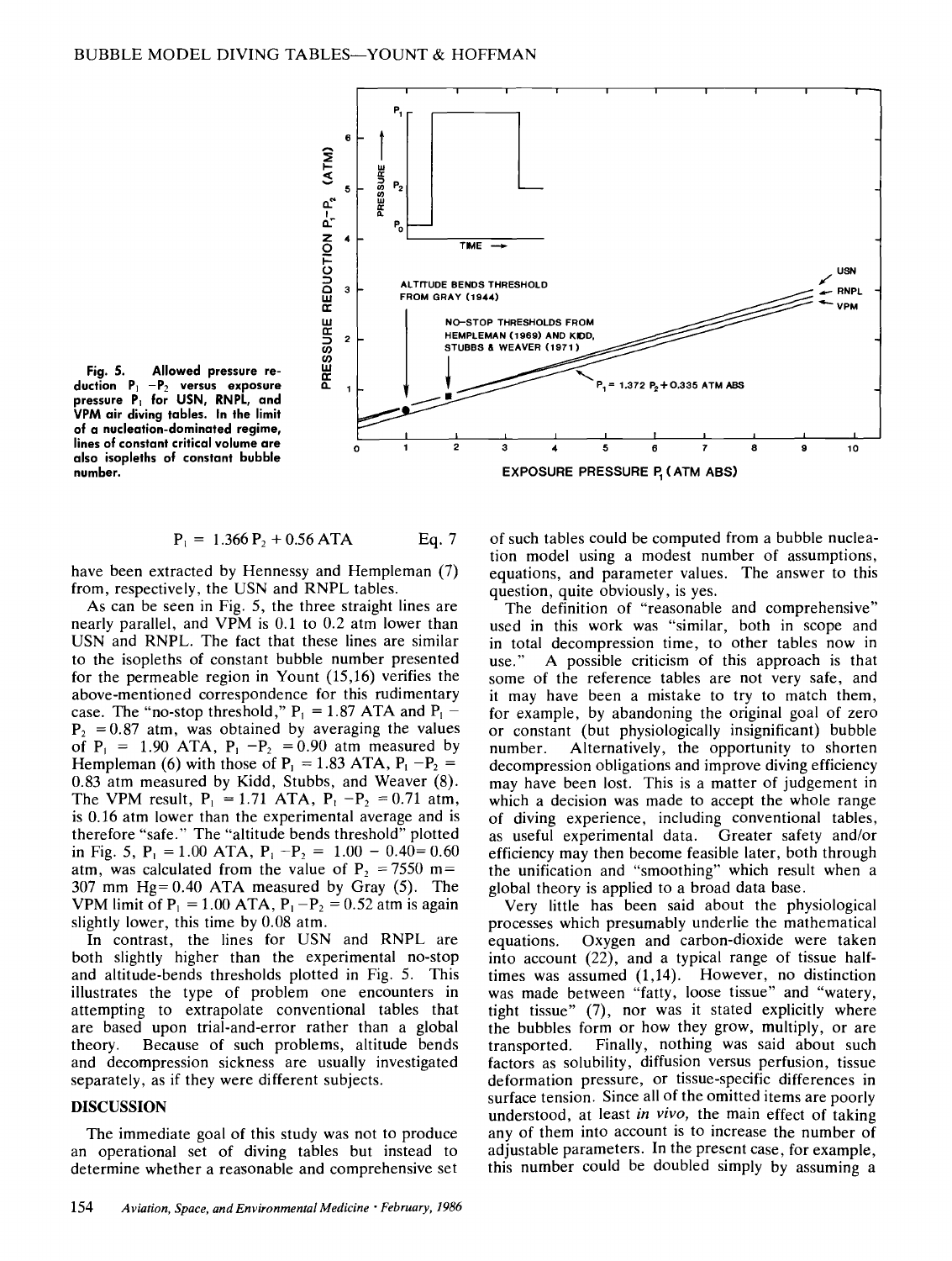

**Fig. 5. Allowed pressure re**duction P<sub>1</sub> - P<sub>2</sub> versus exposure **pressure P= for USN, RNPL, and VPM air diving tables. In the limit of a nucleation-dominated regime, lines of constant critical volume are also isopleths of constant bubble number.** 

$$
P_1 = 1.366 P_2 + 0.56 ATA
$$
 Eq. 7

have been extracted by Hennessy and Hempleman (7) from, respectively, the USN and RNPL tables.

As can be seen in Fig. 5, the three straight lines are nearly parallel, and VPM is 0.1 to 0.2 atm lower than USN and RNPL. The fact that these lines are similar to the isopleths of constant bubble number presented for the permeable region in Yount (15,16) verifies the above-mentioned correspondence for this rudimentary case. The "no-stop threshold,"  $P_1 = 1.87$  ATA and  $P_1$  - $P_2 = 0.87$  atm, was obtained by averaging the values of  $P_1 = 1.90$  ATA,  $P_1 - P_2 = 0.90$  atm measured by Hempleman (6) with those of  $P_1 = 1.83$  ATA,  $P_1 - P_2 =$ 0.83 atm measured by Kidd, Stubbs, and Weaver (8). The VPM result,  $P_1 = 1.71$  ATA,  $P_1 - P_2 = 0.71$  atm, is 0.16 atm lower than the experimental average and is therefore "safe." The "altitude bends threshold" plotted in Fig. 5,  $P_1 = 1.00$  ATA,  $P_1 - P_2 = 1.00 - 0.40 = 0.60$ atm, was calculated from the value of P<sub>2</sub> =  $7550$  m= 307 mm Hg= 0.40 ATA measured by Gray (5). The VPM limit of  $P_1 = 1.00$  ATA,  $P_1 - P_2 = 0.52$  atm is again slightly lower, this time by 0.08 atm.

In contrast, the lines for USN and RNPL are both slightly higher than the experimental no-stop and altitude-bends thresholds plotted in Fig. 5. This illustrates the type of problem one encounters in attempting to extrapolate conventional tables that are based upon trial-and-error rather than a global theory. Because of such problems, altitude bends and decompression sickness are usually investigated separately, as if they were different subjects.

## DISCUSSION

The immediate goal of this study was not to produce an operational set of diving tables but instead to determine whether a reasonable and comprehensive set of such tables could be computed from a bubble nucleation model using a modest number of assumptions, equations, and parameter values. The answer to this question, quite obviously, is yes.

The definition of "reasonable and comprehensive" used in this work was "similar, both in scope and in total decompression time, to other tables now in use." A possible criticism of this approach is that some of the reference tables are not very safe, and it may have been a mistake to try to match them, for example, by abandoning the original goal of zero or constant (but physiologically insignificant) bubble number. Alternatively, the opportunity to shorten decompression obligations and improve diving efficiency may have been lost. This is a matter of judgement in which a decision was made to accept the whole range of diving experience, including conventional tables, as useful experimental data. Greater safety and/or efficiency may then become feasible later, both through the unification and "smoothing" which result when a global theory is applied to a broad data base.

Very little has been said about the physiological processes which presumably underlie the mathematical equations. Oxygen and carbon-dioxide were taken into account (22), and a typical range of tissue halftimes was assumed (1,14). However, no distinction was made between "fatty, loose tissue" and "watery, tight tissue" (7), nor was it stated explicitly where the bubbles form or how they grow, multiply, or are transported. Finally, nothing was said about such factors as solubility, diffusion versus perfusion, tissue deformation pressure, or tissue-specific differences in surface tension. Since all of the omitted items are poorly understood, at least *in vivo,* the main effect of taking any of them into account is to increase the number of adjustable parameters. In the present case, for example, this number could be doubled simply by assuming a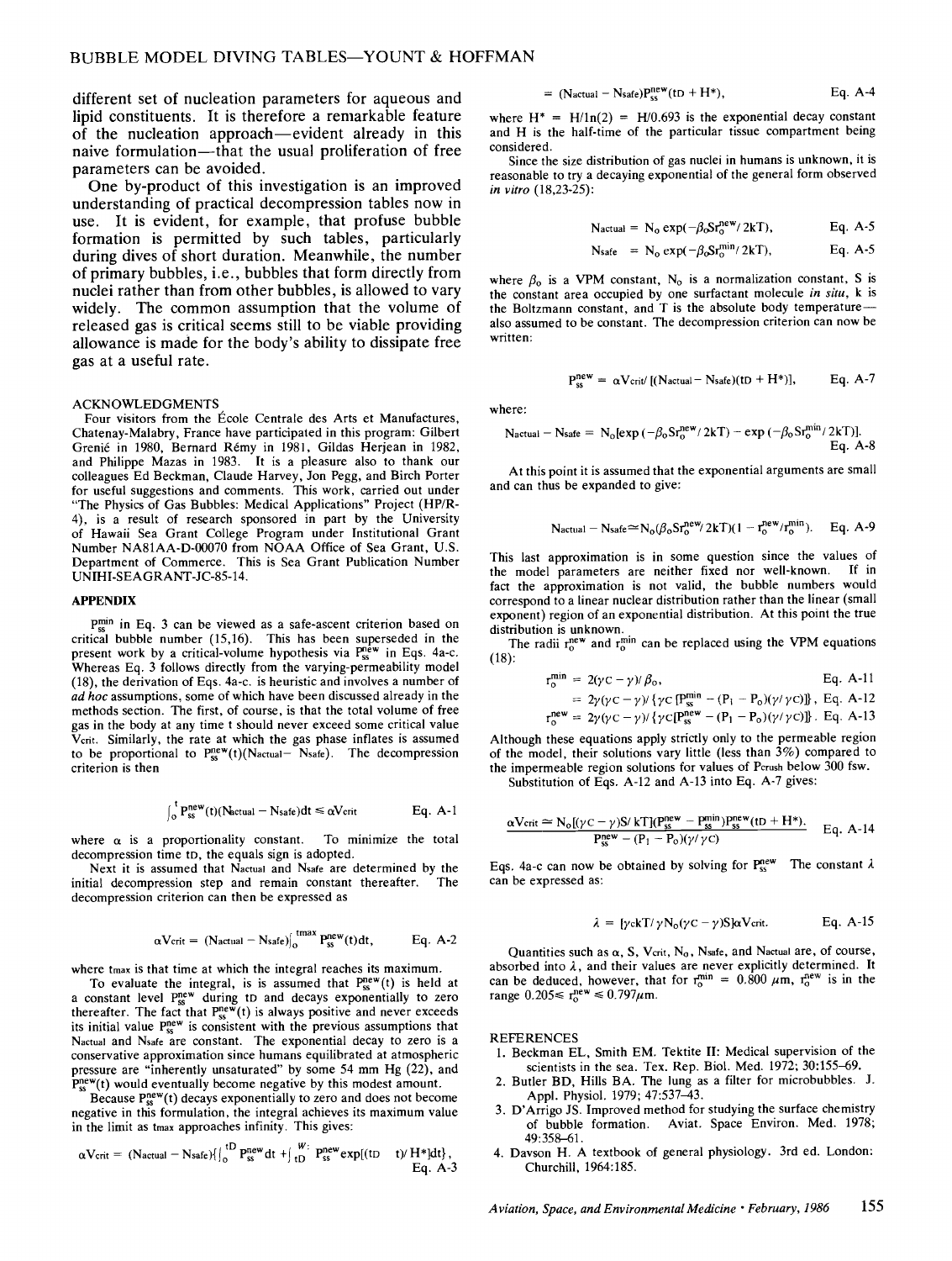different set of nucleation parameters for aqueous and lipid constituents. It is therefore a remarkable feature of the nucleation approach—evident already in this naive formulation--that the usual proliferation of free parameters can be avoided.

One by-product of this investigation is an improved understanding of practical decompression tables now in use. It is evident, for example, that profuse bubble formation is permitted by such tables, particularly during dives of short duration. Meanwhile, the number of primary bubbles, i.e., bubbles that form directly from nuclei rather than from other bubbles, is allowed to vary widely. The common assumption that the volume of released gas is critical seems still to be viable providing allowance is made for the body's ability to dissipate free gas at a useful rate.

#### ACKNOWLEDGMENTS

Four visitors from the École Centrale des Arts et Manufactures, Chatenay-Malabry, France have participated in this program: Gilbert Grenié in 1980, Bernard Rémy in 1981, Gildas Herjean in 1982, and Philippe Mazas in 1983. It is a pleasure also to thank our colleagues Ed Beckman, Claude Harvey, Jon Pegg, and Birch Porter for useful suggestions and comments. This work, carried out under "The Physics of Gas Bubbles: Medical Applications" Project (HP/R-4), is a result of research sponsored in part by the University of Hawaii Sea Grant College Program under Institutional Grant Number NA81AA-D-00070 from NOAA Office of Sea Grant, U.S. Department of Commerce. This is Sea Grant Publication Number UNIHI-SEAGRANT-JC-85-14.

#### **APPENDIX**

pmin in Eq. 3 can be viewed as a safe-ascent criterion based on critical bubble number (15,16). This has been superseded in the present work by a critical-volume hypothesis via  $P_{ss}^{new}$  in Eqs. 4a-c. Whereas Eq. 3 follows directly from the varying-permeability model (18), the derivation of Eqs. 4a-c. is heuristic and involves a number of *ad hoc* assumptions, some of which have been discussed already in the methods section. The first, of course, is that the total volume of free gas in the body at any time t should never exceed some critical value Vcrit. Similarly, the rate at which the gas phase inflates is assumed to be proportional to  $P_{ss}^{new}(t)(N_{actual} - N_{safe})$ . The decompression criterion is then

$$
\int_{0}^{t} P_{ss}^{new}(t) (N_{actual} - N_{safe}) dt \le \alpha V_{crit}
$$
 Eq. A-1

where  $\alpha$  is a proportionality constant. To minimize the total decompression time tD, the equals sign is adopted.

Next it is assumed that Nactual and Nsafe are determined by the initial decompression step and remain constant thereafter. The decompression criterion can then be expressed as

$$
\alpha
$$
Vcrit = (Nactual - Nsafe) $\int_0^{\text{tmax}} P_{ss}^{\text{new}}(t) dt$ , Eq. A-2

where tmax is that time at which the integral reaches its maximum.

To evaluate the integral, is is assumed that  $P_{ss}^{new}(t)$  is held at a constant level Pss<sup>w</sup> during tD and decays exponentially to zero thereafter. The fact that  $P_{ss}^{new}(t)$  is always positive and never exceeds its initial value  $P_{ss}^{new}$  is consistent with the previous assumptions that Nactual and Nsafe are constant. The exponential decay to zero is a conservative approximation since humans equilibrated at atmospheric pressure are "inherently unsaturated" by some 54 mm Hg (22), and  $P_{ss}^{new}(t)$  would eventually become negative by this modest amount.

Because  $P_{ss}^{new}(t)$  decays exponentially to zero and does not become negative in this formulation, the integral achieves its maximum value in the limit as tmax approaches infinity. This gives:

$$
\alpha V_{crit} = (N_{actual} - N_{safe}) \{ \begin{matrix} 1D \\ 0 \end{matrix} \begin{matrix} new \\ P_{ss}^{new} \end{matrix} dt + \begin{matrix} w \\ 1D \end{matrix} \begin{matrix} P_{ss}^{new} \exp[(tD - t)/H^*]dt \} \\ Eq. A-3 \end{matrix} \}
$$

$$
= (Nactual - Nsafe)Pssnew(tD + H*), \tEq. A-4
$$

where  $H^* = H/ln(2) = H/0.693$  is the exponential decay constant and H is the half-time of the particular tissue compartment being considered.

Since the size distribution of gas nuclei in humans is unknown, it is reasonable to try a decaying exponential of the general form observed *in vitro* (18,23-25):

$$
N_{actual} = N_o \exp(-\beta_o S r_o^{new} / 2kT), \qquad Eq. A-5
$$

$$
N_{\text{safe}} = N_0 \exp(-\beta_0 S r_0^{\min}/2kT), \qquad \text{Eq. A-5}
$$

where  $\beta_0$  is a VPM constant, N<sub>o</sub> is a normalization constant, S is the constant area occupied by one surfactant molecule *in situ,* k is the Boltzmann constant, and  $T$  is the absolute body temperature-also assumed to be constant. The decompression criterion can now be written:

$$
P_{\rm sc}^{\rm new} = \alpha V_{\rm crit} / [(N_{\rm actual} - N_{\rm safe})(tD + H^*)],
$$
 Eq. A-7

where:

$$
N_{actual} - N_{safe} = N_o[exp(-\beta_0 S r_0^{new}/2kT) - exp(-\beta_0 S r_0^{min}/2kT)].
$$
  
Eq. A-8

At this point it is assumed that the exponential arguments are small and can thus be expanded to give:

$$
Nactual = Nsafe \approx N_o(\beta_o Sr_o^{new}/2kT)(1 - r_o^{new}/r_o^{min}).Eq. A-9
$$

This last approximation is in some question since the values of the model parameters are neither fixed nor well-known. If in fact the approximation is not valid, the bubble numbers would correspond to a linear nuclear distribution rather than the linear (small exponent) region of an exponential distribution. At this point the true distribution is unknown.

The radii  $r_0^{new}$  and  $r_0^{min}$  can be replaced using the VPM equations (18):

$$
r_o^{min} = 2(\gamma c - \gamma)/\beta_o, \qquad Eq. A-11
$$

= 
$$
2\gamma(\gamma c - \gamma) / {\gamma c [P_s^{m} - (P_i - P_o)(\gamma/\gamma c)]}
$$
, Eq. A-12  
\n $r_o^{new}$  =  $2\gamma(\gamma c - \gamma) / {\gamma c [P_s^{new} - (P_1 - P_o)(\gamma/\gamma c)]}$ . Eq. A-13

Although these equations apply strictly only to the permeable region of the model, their solutions vary little (less than  $3\%$ ) compared to the impermeable region solutions for values of Pcrush below 300 fsw. Substitution of Eqs. A-12 and A-13 into Eq. A-7 gives:

$$
\frac{\alpha \text{Vcrit} \simeq \text{N}_o[(\gamma C - \gamma) \text{S}/k \text{T}](P_{ss}^{\text{new}} - P_{ss}^{\text{min}}) P_{ss}^{\text{new}}(\text{tD} + \text{H*}).}{P_{ss}^{\text{new}} - (P_1 - P_o)(\gamma/\gamma C)} \quad \text{Eq. A-14}
$$

Eqs. 4a-c can now be obtained by solving for  $P_{ss}^{new}$  The constant  $\lambda$ can be expressed as:

$$
\lambda = \left[ \gamma c k T / \gamma N_0 (\gamma c - \gamma) S \right] \alpha V_{crit}.
$$
 Eq. A-15

Quantities such as  $\alpha$ , S, Vcrit, N<sub>o</sub>, Nsafe, and Nactual are, of course, absorbed into  $\lambda$ , and their values are never explicitly determined. It can be deduced, however, that for  $r_0^{\text{min}} = 0.800 \mu \text{m}$ ,  $r_0^{\text{new}}$  is in the range  $0.205 \le r_0^{\text{new}} \le 0.797 \mu \text{m}$ .

#### **REFERENCES**

- 1. Beckman EL, Smith EM. Tektite II: Medical supervision of the scientists in the sea. Tex. Rep. Biol. Med. 1972; 30:155-69.
- 2. Butler BD, Hills BA. The lung as a filter for microbubbles. J. Appl. Physiol. 1979; 47:537-43.
- 3. D'Arrigo JS. Improved method for studying the surface chemistry of bubble formation. Aviat. Space Environ. Med. 1978; 49:358-61.
- 4. Davson H. A textbook of general physiology. 3rd ed. London: Churchill, 1964:185.